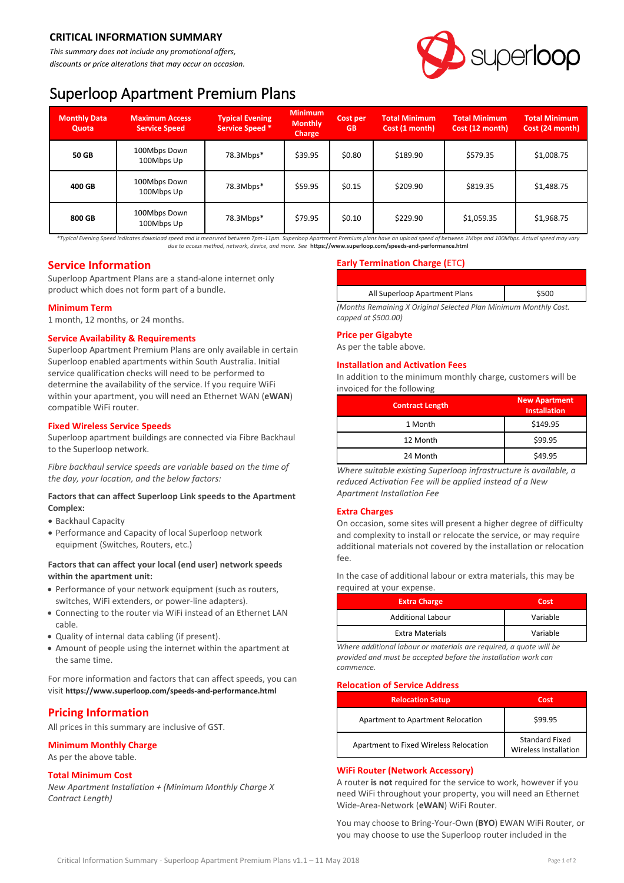# **CRITICAL INFORMATION SUMMARY**

*This summary does not include any promotional offers, discounts or price alterations that may occur on occasion.*



# Superloop Apartment Premium Plans

| <b>Monthly Data</b><br>Quota | <b>Maximum Access</b><br><b>Service Speed</b> | <b>Typical Evening</b><br><b>Service Speed *</b> | <b>Minimum</b><br><b>Monthly</b><br><b>Charge</b> | <b>Cost per</b><br><b>GB</b> | <b>Total Minimum</b><br>Cost (1 month) | <b>Total Minimum</b><br>Cost (12 month) | <b>Total Minimum</b><br>Cost (24 month) |
|------------------------------|-----------------------------------------------|--------------------------------------------------|---------------------------------------------------|------------------------------|----------------------------------------|-----------------------------------------|-----------------------------------------|
| 50 GB                        | 100Mbps Down<br>100Mbps Up                    | 78.3Mbps*                                        | \$39.95                                           | \$0.80                       | \$189.90                               | \$579.35                                | \$1,008.75                              |
| 400 GB                       | 100Mbps Down<br>100Mbps Up                    | 78.3Mbps*                                        | \$59.95                                           | \$0.15                       | \$209.90                               | \$819.35                                | \$1,488.75                              |
| 800 GB                       | 100Mbps Down<br>100Mbps Up                    | 78.3Mbps*                                        | \$79.95                                           | \$0.10                       | \$229.90                               | \$1,059.35                              | \$1,968.75                              |

*\*Typical Evening Speed indicates download speed and is measured between 7pm-11pm. Superloop Apartment Premium plans have an upload speed of between 1Mbps and 100Mbps. Actual speed may vary due to access method, network, device, and more. See* **<https://www.superloop.com/speeds-and-performance.html>**

# **Service Information**

Superloop Apartment Plans are a stand-alone internet only product which does not form part of a bundle.

### **Minimum Term**

1 month, 12 months, or 24 months.

### **Service Availability & Requirements**

Superloop Apartment Premium Plans are only available in certain Superloop enabled apartments within South Australia. Initial service qualification checks will need to be performed to determine the availability of the service. If you require WiFi within your apartment, you will need an Ethernet WAN (**eWAN**) compatible WiFi router.

### **Fixed Wireless Service Speeds**

Superloop apartment buildings are connected via Fibre Backhaul to the Superloop network.

*Fibre backhaul service speeds are variable based on the time of the day, your location, and the below factors:*

### **Factors that can affect Superloop Link speeds to the Apartment Complex:**

- Backhaul Capacity
- Performance and Capacity of local Superloop network equipment (Switches, Routers, etc.)

# **Factors that can affect your local (end user) network speeds within the apartment unit:**

- Performance of your network equipment (such as routers, switches, WiFi extenders, or power-line adapters).
- Connecting to the router via WiFi instead of an Ethernet LAN cable.
- Quality of internal data cabling (if present).
- Amount of people using the internet within the apartment at the same time.

For more information and factors that can affect speeds, you can visit **<https://www.superloop.com/speeds-and-performance.html>**

# **Pricing Information**

All prices in this summary are inclusive of GST.

# **Minimum Monthly Charge**

As per the above table.

# **Total Minimum Cost**

*New Apartment Installation + (Minimum Monthly Charge X Contract Length)*

# **Early Termination Charge (**ETC**)**

| All Superloop Apartment Plans                                   | \$500 |  |  |
|-----------------------------------------------------------------|-------|--|--|
| Months Remainina X Oriainal Selected Plan Minimum Monthly Cost. |       |  |  |

*(Months Remaining X Original Selected Plan Minimum Monthly Cost. capped at \$500.00)*

# **Price per Gigabyte**

As per the table above.

### **Installation and Activation Fees**

In addition to the minimum monthly charge, customers will be invoiced for the following

| <b>Contract Length</b> | <b>New Apartment</b><br><b>Installation</b> |  |  |
|------------------------|---------------------------------------------|--|--|
| 1 Month                | \$149.95                                    |  |  |
| 12 Month               | \$99.95                                     |  |  |
| 24 Month               | \$49.95                                     |  |  |

*Where suitable existing Superloop infrastructure is available, a reduced Activation Fee will be applied instead of a New Apartment Installation Fee*

# **Extra Charges**

On occasion, some sites will present a higher degree of difficulty and complexity to install or relocate the service, or may require additional materials not covered by the installation or relocation fee.

In the case of additional labour or extra materials, this may be required at your expense.

| <b>Extra Charge</b>      | Cost     |
|--------------------------|----------|
| <b>Additional Labour</b> | Variable |
| <b>Extra Materials</b>   | Variable |

*Where additional labour or materials are required, a quote will be provided and must be accepted before the installation work can commence.*

#### **Relocation of Service Address**

| <b>Relocation Setup</b>                | Cost                                           |  |
|----------------------------------------|------------------------------------------------|--|
| Apartment to Apartment Relocation      | \$99.95                                        |  |
| Apartment to Fixed Wireless Relocation | <b>Standard Fixed</b><br>Wireless Installation |  |

# **WiFi Router (Network Accessory)**

A router **is not** required for the service to work, however if you need WiFi throughout your property, you will need an Ethernet Wide-Area-Network (**eWAN**) WiFi Router.

You may choose to Bring-Your-Own (**BYO**) EWAN WiFi Router, or you may choose to use the Superloop router included in the